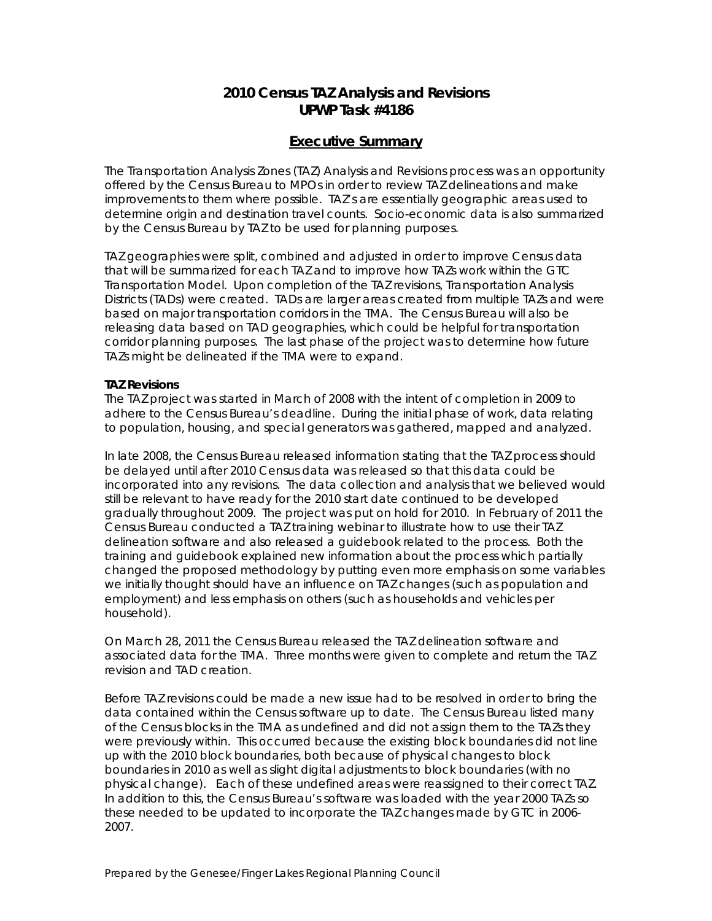# **2010 Census TAZ Analysis and Revisions UPWP Task #4186**

## **Executive Summary**

The Transportation Analysis Zones (TAZ) Analysis and Revisions process was an opportunity offered by the Census Bureau to MPOs in order to review TAZ delineations and make improvements to them where possible. TAZ's are essentially geographic areas used to determine origin and destination travel counts. Socio-economic data is also summarized by the Census Bureau by TAZ to be used for planning purposes.

TAZ geographies were split, combined and adjusted in order to improve Census data that will be summarized for each TAZ and to improve how TAZs work within the GTC Transportation Model. Upon completion of the TAZ revisions, Transportation Analysis Districts (TADs) were created. TADs are larger areas created from multiple TAZs and were based on major transportation corridors in the TMA. The Census Bureau will also be releasing data based on TAD geographies, which could be helpful for transportation corridor planning purposes. The last phase of the project was to determine how future TAZs might be delineated if the TMA were to expand.

#### **TAZ Revisions**

The TAZ project was started in March of 2008 with the intent of completion in 2009 to adhere to the Census Bureau's deadline. During the initial phase of work, data relating to population, housing, and special generators was gathered, mapped and analyzed.

In late 2008, the Census Bureau released information stating that the TAZ process should be delayed until after 2010 Census data was released so that this data could be incorporated into any revisions. The data collection and analysis that we believed would still be relevant to have ready for the 2010 start date continued to be developed gradually throughout 2009. The project was put on hold for 2010. In February of 2011 the Census Bureau conducted a TAZ training webinar to illustrate how to use their TAZ delineation software and also released a guidebook related to the process. Both the training and guidebook explained new information about the process which partially changed the proposed methodology by putting even more emphasis on some variables we initially thought should have an influence on TAZ changes (such as population and employment) and less emphasis on others (such as households and vehicles per household).

On March 28, 2011 the Census Bureau released the TAZ delineation software and associated data for the TMA. Three months were given to complete and return the TAZ revision and TAD creation.

Before TAZ revisions could be made a new issue had to be resolved in order to bring the data contained within the Census software up to date. The Census Bureau listed many of the Census blocks in the TMA as undefined and did not assign them to the TAZs they were previously within. This occurred because the existing block boundaries did not line up with the 2010 block boundaries, both because of physical changes to block boundaries in 2010 as well as slight digital adjustments to block boundaries (with no physical change). Each of these undefined areas were reassigned to their correct TAZ. In addition to this, the Census Bureau's software was loaded with the year 2000 TAZs so these needed to be updated to incorporate the TAZ changes made by GTC in 2006- 2007.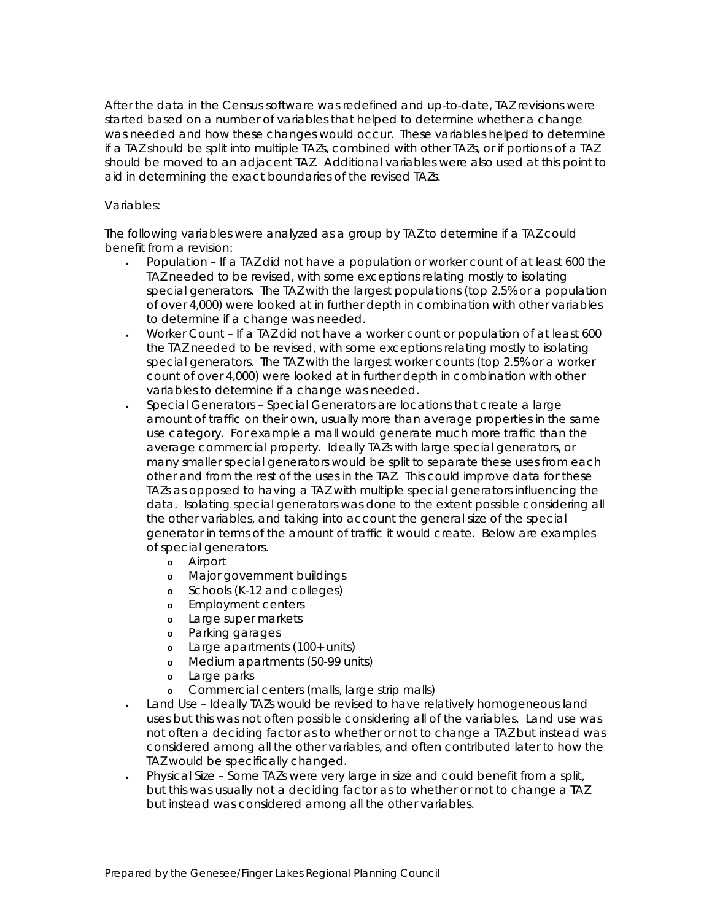After the data in the Census software was redefined and up-to-date, TAZ revisions were started based on a number of variables that helped to determine whether a change was needed and how these changes would occur. These variables helped to determine if a TAZ should be split into multiple TAZs, combined with other TAZs, or if portions of a TAZ should be moved to an adjacent TAZ. Additional variables were also used at this point to aid in determining the exact boundaries of the revised TAZs.

## Variables:

The following variables were analyzed as a group by TAZ to determine if a TAZ could benefit from a revision:

- Population If a TAZ did not have a population or worker count of at least 600 the TAZ needed to be revised, with some exceptions relating mostly to isolating special generators. The TAZ with the largest populations (top 2.5% or a population of over 4,000) were looked at in further depth in combination with other variables to determine if a change was needed.
- Worker Count If a TAZ did not have a worker count or population of at least 600 the TAZ needed to be revised, with some exceptions relating mostly to isolating special generators. The TAZ with the largest worker counts (top 2.5% or a worker count of over 4,000) were looked at in further depth in combination with other variables to determine if a change was needed.
- Special Generators Special Generators are locations that create a large amount of traffic on their own, usually more than average properties in the same use category. For example a mall would generate much more traffic than the average commercial property. Ideally TAZs with large special generators, or many smaller special generators would be split to separate these uses from each other and from the rest of the uses in the TAZ. This could improve data for these TAZs as opposed to having a TAZ with multiple special generators influencing the data. Isolating special generators was done to the extent possible considering all the other variables, and taking into account the general size of the special generator in terms of the amount of traffic it would create. Below are examples of special generators.
	- **o** Airport
	- **o** Major government buildings
	- **o** Schools (K-12 and colleges)
	- **o** Employment centers
	- **o** Large super markets
	- **o** Parking garages
	- **o** Large apartments (100+ units)
	- **o** Medium apartments (50-99 units)
	- **o** Large parks
	- **o** Commercial centers (malls, large strip malls)
- Land Use Ideally TAZs would be revised to have relatively homogeneous land uses but this was not often possible considering all of the variables. Land use was not often a deciding factor as to whether or not to change a TAZ but instead was considered among all the other variables, and often contributed later to how the TAZ would be specifically changed.
- Physical Size Some TAZs were very large in size and could benefit from a split, but this was usually not a deciding factor as to whether or not to change a TAZ but instead was considered among all the other variables.